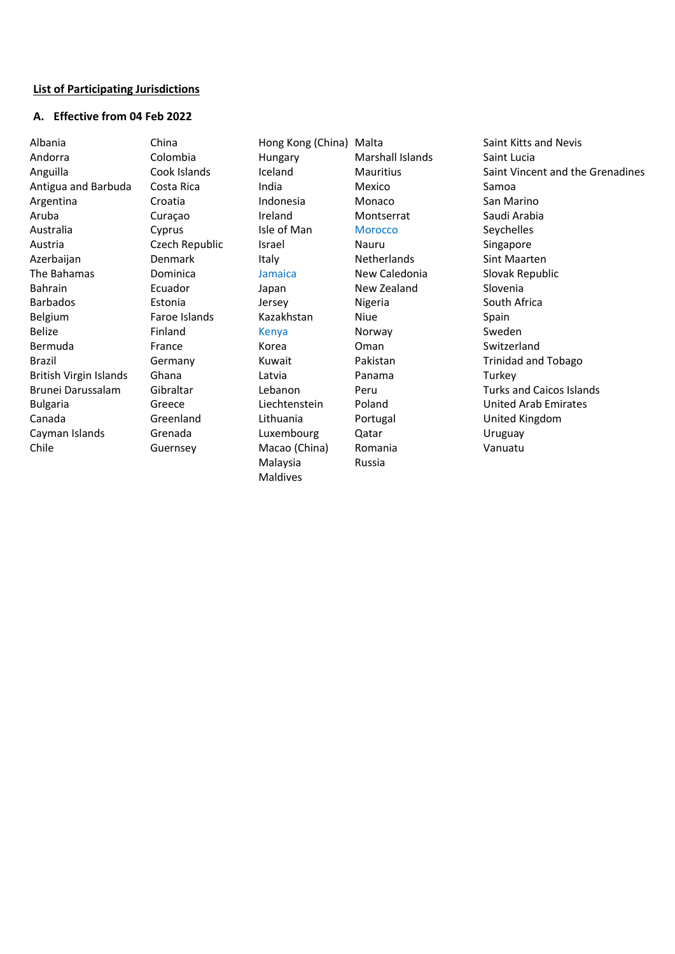#### **List of Participating Jurisdictions**

### **A. Effective from 04 Feb 2022**

Albania Andorra Anguilla Antigua and Barbuda Argentina Aruba Australia Austria Azerbaijan The Bahamas Bahrain Barbados Belgium Belize Bermuda Brazil British Virgin Islands Brunei Darussalam Bulgaria Canada Cayman Islands Chile

China Colombia Cook Islands Costa Rica Croatia Curaçao Cyprus Czech Republic Denmark Dominica Ecuador Estonia Faroe Islands Finland France Germany Ghana Gibraltar Greece Greenland Grenada Guernsey

Hong Kong (China) Malta Hungary Iceland India Indonesia Ireland Isle of Man Israel Italy Jamaica Japan Jersey Kazakhstan Kenya Korea Kuwait Latvia Lebanon Liechtenstein Lithuania Luxembourg Macao (China) Malaysia Maldives

Marshall Islands **Mauritius** Mexico Monaco Montserrat **Morocco** Nauru **Netherlands** New Caledonia New Zealand Nigeria Niue Norway Oman Pakistan Panama Peru Poland Portugal Qatar Romania Russia

Saint Kitts and Nevis Saint Lucia Saint Vincent and the Grenadines Samoa San Marino Saudi Arabia Seychelles Singapore Sint Maarten Slovak Republic Slovenia South Africa Spain Sweden Switzerland Trinidad and Tobago **Turkey** Turks and Caicos Islands United Arab Emirates United Kingdom Uruguay Vanuatu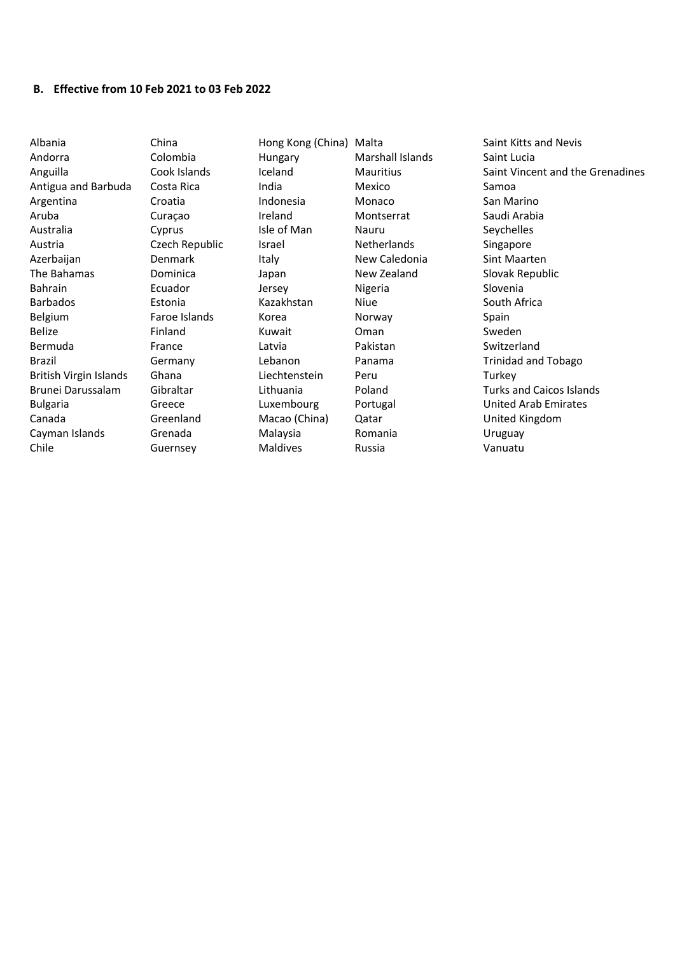#### **B. Effective from 10 Feb 2021 to 03 Feb 2022**

Albania Andorra Anguilla Antigua and Barbuda Argentina Aruba Australia Austria Azerbaijan The Bahamas Bahrain Barbados Belgium Belize Bermuda Brazil British Virgin Islands Brunei Darussalam Bulgaria Canada Cayman Islands Chile

China Colombia Cook Islands Costa Rica Croatia Curaçao Cyprus Czech Republic Denmark Dominica Ecuador Estonia Faroe Islands Finland France Germany Ghana Gibraltar Greece Greenland Grenada Guernsey

Hong Kong (China) Malta Hungary Iceland India Indonesia Ireland Isle of Man Israel Italy Japan Jersey Kazakhstan Korea Kuwait Latvia Lebanon Liechtenstein Lithuania Luxembourg Macao (China) Malaysia Maldives

Marshall Islands **Mauritius** Mexico Monaco Montserrat Nauru Netherlands New Caledonia New Zealand Nigeria Niue Norway Oman Pakistan Panama Peru Poland Portugal Qatar Romania Russia

Saint Kitts and Nevis Saint Lucia Saint Vincent and the Grenadines Samoa San Marino Saudi Arabia Seychelles Singapore Sint Maarten Slovak Republic Slovenia South Africa Spain Sweden Switzerland Trinidad and Tobago **Turkey** Turks and Caicos Islands United Arab Emirates United Kingdom Uruguay Vanuatu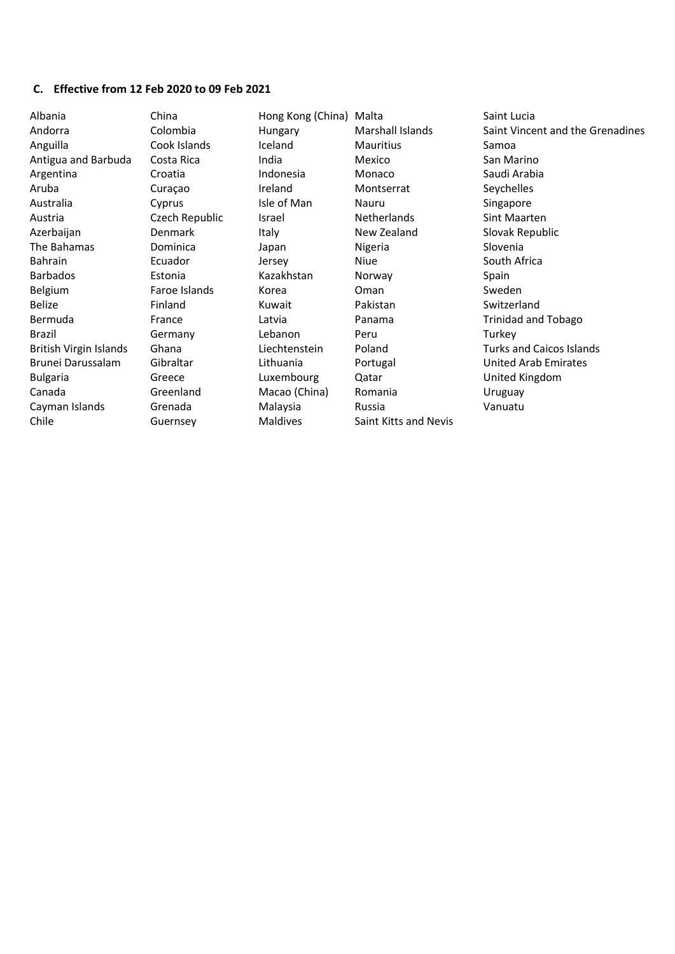# **C. Effective from 12 Feb 2020 to 09 Feb 2021**

| Albania                       | China          | Hong Kong (China) Malta |                       | Saint Lucia                      |
|-------------------------------|----------------|-------------------------|-----------------------|----------------------------------|
| Andorra                       | Colombia       | Hungary                 | Marshall Islands      | Saint Vincent and the Grenadines |
| Anguilla                      | Cook Islands   | Iceland                 | <b>Mauritius</b>      | Samoa                            |
| Antigua and Barbuda           | Costa Rica     | India                   | Mexico                | San Marino                       |
| Argentina                     | Croatia        | Indonesia               | Monaco                | Saudi Arabia                     |
| Aruba                         | Curaçao        | Ireland                 | Montserrat            | Seychelles                       |
| Australia                     | Cyprus         | Isle of Man             | Nauru                 | Singapore                        |
| Austria                       | Czech Republic | Israel                  | Netherlands           | Sint Maarten                     |
| Azerbaijan                    | <b>Denmark</b> | Italy                   | New Zealand           | Slovak Republic                  |
| The Bahamas                   | Dominica       | Japan                   | Nigeria               | Slovenia                         |
| Bahrain                       | Ecuador        | Jersey                  | Niue                  | South Africa                     |
| <b>Barbados</b>               | Estonia        | Kazakhstan              | Norway                | Spain                            |
| Belgium                       | Faroe Islands  | Korea                   | Oman                  | Sweden                           |
| <b>Belize</b>                 | Finland        | Kuwait                  | Pakistan              | Switzerland                      |
| Bermuda                       | France         | Latvia                  | Panama                | <b>Trinidad and Tobago</b>       |
| Brazil                        | Germany        | Lebanon                 | Peru                  | Turkey                           |
| <b>British Virgin Islands</b> | Ghana          | Liechtenstein           | Poland                | <b>Turks and Caicos Islands</b>  |
| Brunei Darussalam             | Gibraltar      | Lithuania               | Portugal              | <b>United Arab Emirates</b>      |
| <b>Bulgaria</b>               | Greece         | Luxembourg              | Qatar                 | United Kingdom                   |
| Canada                        | Greenland      | Macao (China)           | Romania               | Uruguay                          |
| Cayman Islands                | Grenada        | Malaysia                | Russia                | Vanuatu                          |
| Chile                         | Guernsey       | <b>Maldives</b>         | Saint Kitts and Nevis |                                  |
|                               |                |                         |                       |                                  |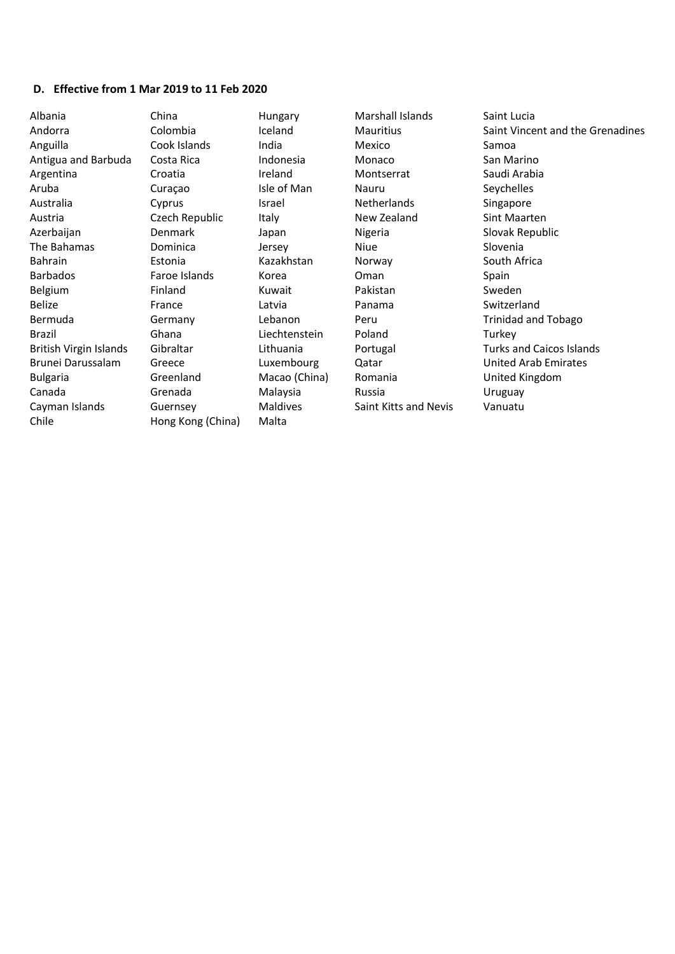#### **D. Effective from 1 Mar 2019 to 11 Feb 2020**

China Colombia Cook Islands Costa Rica Croatia Curaçao Cyprus Czech Republic Denmark Dominica Estonia Faroe Islands Finland France Germany Ghana Gibraltar Greece Greenland Grenada Guernsey Hong Kong (China)

Hungary Iceland India Indonesia Ireland Isle of Man Israel Italy Japan Jersey Kazakhstan Korea Kuwait Latvia Lebanon Liechtenstein Lithuania Luxembourg Macao (China) Malaysia Maldives Malta

Marshall Islands Mauritius Mexico Monaco Montserrat Nauru **Netherlands** New Zealand Nigeria Niue Norway Oman Pakistan Panama Peru Poland Portugal Qatar Romania Russia Saint Kitts and Nevis

Saint Lucia Saint Vincent and the Grenadines Samoa San Marino Saudi Arabia Seychelles Singapore Sint Maarten Slovak Republic Slovenia South Africa Spain Sweden Switzerland Trinidad and Tobago Turkey Turks and Caicos Islands United Arab Emirates United Kingdom Uruguay Vanuatu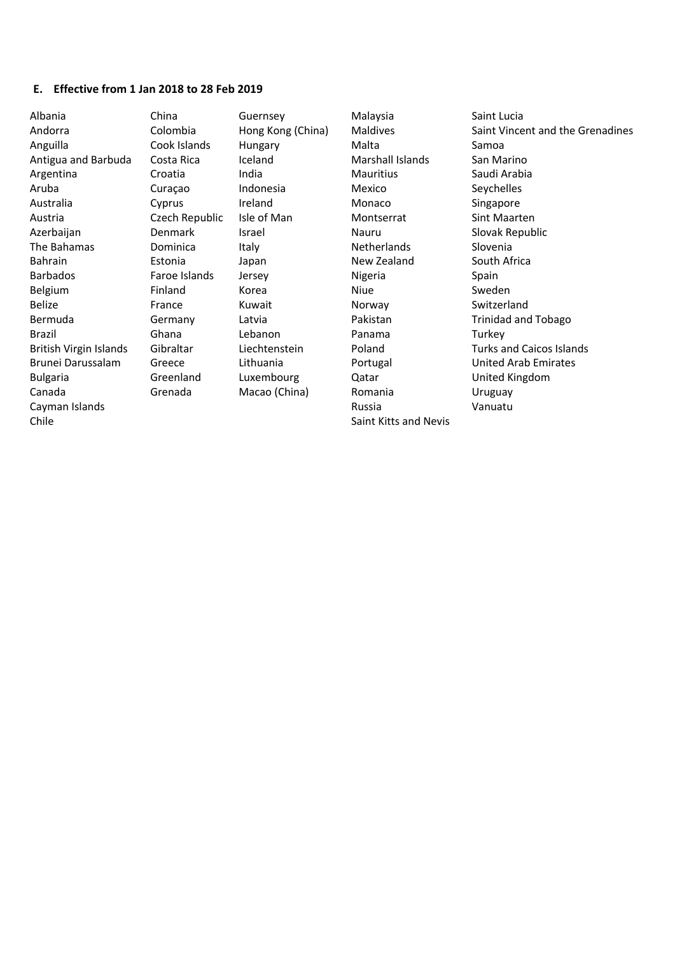## **E. Effective from 1 Jan 2018 to 28 Feb 2019**

| Albania                       | China          | Guernsey          | Malaysia              | Saint Lucia                      |
|-------------------------------|----------------|-------------------|-----------------------|----------------------------------|
| Andorra                       | Colombia       | Hong Kong (China) | Maldives              | Saint Vincent and the Grenadines |
| Anguilla                      | Cook Islands   | <b>Hungary</b>    | Malta                 | Samoa                            |
| Antigua and Barbuda           | Costa Rica     | Iceland           | Marshall Islands      | San Marino                       |
| Argentina                     | Croatia        | India             | Mauritius             | Saudi Arabia                     |
| Aruba                         | Curaçao        | Indonesia         | Mexico                | Seychelles                       |
| Australia                     | Cyprus         | Ireland           | Monaco                | Singapore                        |
| Austria                       | Czech Republic | Isle of Man       | Montserrat            | Sint Maarten                     |
| Azerbaijan                    | <b>Denmark</b> | Israel            | Nauru                 | Slovak Republic                  |
| The Bahamas                   | Dominica       | Italy             | Netherlands           | Slovenia                         |
| Bahrain                       | Estonia        | Japan             | New Zealand           | South Africa                     |
| <b>Barbados</b>               | Faroe Islands  | Jersey            | Nigeria               | Spain                            |
| Belgium                       | Finland        | Korea             | Niue                  | Sweden                           |
| Belize                        | France         | Kuwait            | Norway                | Switzerland                      |
| Bermuda                       | Germany        | Latvia            | Pakistan              | <b>Trinidad and Tobago</b>       |
| Brazil                        | Ghana          | Lebanon           | Panama                | Turkey                           |
| <b>British Virgin Islands</b> | Gibraltar      | Liechtenstein     | Poland                | <b>Turks and Caicos Islands</b>  |
| Brunei Darussalam             | Greece         | Lithuania         | Portugal              | <b>United Arab Emirates</b>      |
| <b>Bulgaria</b>               | Greenland      | Luxembourg        | Qatar                 | United Kingdom                   |
| Canada                        | Grenada        | Macao (China)     | Romania               | Uruguay                          |
| Cayman Islands                |                |                   | Russia                | Vanuatu                          |
| Chile                         |                |                   | Saint Kitts and Nevis |                                  |
|                               |                |                   |                       |                                  |